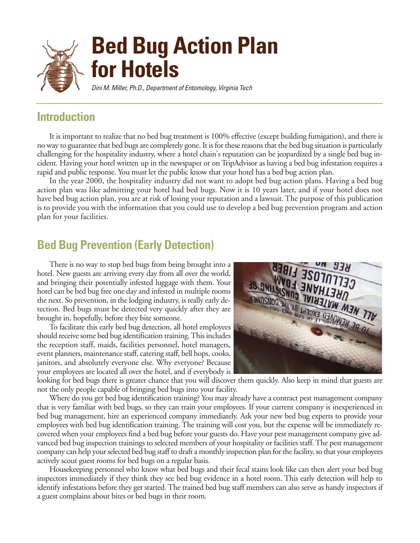

#### **Introduction**

It is important to realize that no bed bug treatment is 100% effective (except building fumigation), and there is no way to guarantee that bed bugs are completely gone. It is for these reasons that the bed bug situation is particularly challenging for the hospitality industry, where a hotel chain's reputation can be jeopardized by a single bed bug incident. Having your hotel written up in the newspaper or on TripAdvisor as having a bed bug infestation requires a rapid and public response. You must let the public know that your hotel has a bed bug action plan.

In the year 2000, the hospitality industry did not want to adopt bed bug action plans. Having a bed bug action plan was like admitting your hotel had bed bugs. Now it is 10 years later, and if your hotel does not have bed bug action plan, you are at risk of losing your reputation and a lawsuit. The purpose of this publication is to provide you with the information that you could use to develop a bed bug prevention program and action plan for your facilities.

### **Bed Bug Prevention (Early Detection)**

There is no way to stop bed bugs from being brought into a hotel. New guests are arriving every day from all over the world, and bringing their potentially infested luggage with them. Your hotel can be bed bug free one day and infested in multiple rooms the next. So prevention, in the lodging industry, is really early detection. Bed bugs must be detected very quickly after they are brought in, hopefully, before they bite someone.

To facilitate this early bed bug detection, all hotel employees should receive some bed bug identification training. This includes the reception staff, maids, facilities personnel, hotel managers, event planners, maintenance staff, catering staff, bell hops, cooks, janitors, and absolutely everyone else. Why everyone? Because your employees are located all over the hotel, and if everybody is



looking for bed bugs there is greater chance that you will discover them quickly. Also keep in mind that guests are not the only people capable of bringing bed bugs into your facility.

Where do you get bed bug identification training? You may already have a contract pest management company that is very familiar with bed bugs, so they can train your employees. If your current company is inexperienced in bed bug management, hire an experienced company immediately. Ask your new bed bug experts to provide your employees with bed bug identification training. The training will cost you, but the expense will be immediately recovered when your employees find a bed bug before your guests do. Have your pest management company give advanced bed bug inspection trainings to selected members of your hospitality or facilities staff. The pest management company can help your selected bed bug staff to draft a monthly inspection plan for the facility, so that your employees actively scout guest rooms for bed bugs on a regular basis.

Housekeeping personnel who know what bed bugs and their fecal stains look like can then alert your bed bug inspectors immediately if they think they see bed bug evidence in a hotel room. This early detection will help to identify infestations before they get started. The trained bed bug staff members can also serve as handy inspectors if a guest complains about bites or bed bugs in their room.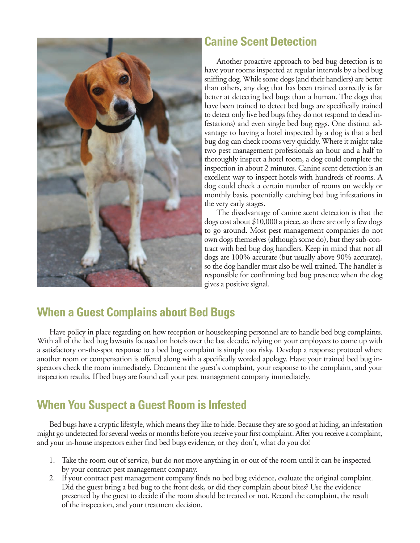

## **Canine Scent Detection**

Another proactive approach to bed bug detection is to have your rooms inspected at regular intervals by a bed bug sniffing dog. While some dogs (and their handlers) are better than others, any dog that has been trained correctly is far better at detecting bed bugs than a human. The dogs that have been trained to detect bed bugs are specifically trained to detect only live bed bugs (they do not respond to dead infestations) and even single bed bug eggs. One distinct advantage to having a hotel inspected by a dog is that a bed bug dog can check rooms very quickly. Where it might take two pest management professionals an hour and a half to thoroughly inspect a hotel room, a dog could complete the inspection in about 2 minutes. Canine scent detection is an excellent way to inspect hotels with hundreds of rooms. A dog could check a certain number of rooms on weekly or monthly basis, potentially catching bed bug infestations in the very early stages.

The disadvantage of canine scent detection is that the dogs cost about \$10,000 a piece, so there are only a few dogs to go around. Most pest management companies do not own dogs themselves (although some do), but they sub-contract with bed bug dog handlers. Keep in mind that not all dogs are 100% accurate (but usually above 90% accurate), so the dog handler must also be well trained. The handler is responsible for confirming bed bug presence when the dog gives a positive signal.

### **When a Guest Complains about Bed Bugs**

Have policy in place regarding on how reception or housekeeping personnel are to handle bed bug complaints. With all of the bed bug lawsuits focused on hotels over the last decade, relying on your employees to come up with a satisfactory on-the-spot response to a bed bug complaint is simply too risky. Develop a response protocol where another room or compensation is offered along with a specifically worded apology. Have your trained bed bug inspectors check the room immediately. Document the guest's complaint, your response to the complaint, and your inspection results. If bed bugs are found call your pest management company immediately.

# **When You Suspect a Guest Room is Infested**

Bed bugs have a cryptic lifestyle, which means they like to hide. Because they are so good at hiding, an infestation might go undetected for several weeks or months before you receive your first complaint. After you receive a complaint, and your in-house inspectors either find bed bugs evidence, or they don't, what do you do?

- 1. Take the room out of service, but do not move anything in or out of the room until it can be inspected by your contract pest management company.
- 2. If your contract pest management company finds no bed bug evidence, evaluate the original complaint. Did the guest bring a bed bug to the front desk, or did they complain about bites? Use the evidence presented by the guest to decide if the room should be treated or not. Record the complaint, the result of the inspection, and your treatment decision.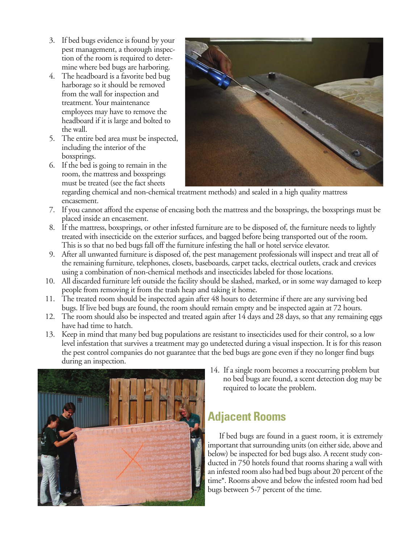- 3. If bed bugs evidence is found by your pest management, a thorough inspection of the room is required to determine where bed bugs are harboring.
- 4. The headboard is a favorite bed bug harborage so it should be removed from the wall for inspection and treatment. Your maintenance employees may have to remove the headboard if it is large and bolted to the wall.
- 5. The entire bed area must be inspected, including the interior of the boxsprings.
- 6. If the bed is going to remain in the room, the mattress and boxsprings must be treated (see the fact sheets

regarding chemical and non-chemical treatment methods) and sealed in a high quality mattress encasement.

- 7. If you cannot afford the expense of encasing both the mattress and the boxsprings, the boxsprings must be placed inside an encasement.
- 8. If the mattress, boxsprings, or other infested furniture are to be disposed of, the furniture needs to lightly treated with insecticide on the exterior surfaces, and bagged before being transported out of the room. This is so that no bed bugs fall off the furniture infesting the hall or hotel service elevator.
- 9. After all unwanted furniture is disposed of, the pest management professionals will inspect and treat all of the remaining furniture, telephones, closets, baseboards, carpet tacks, electrical outlets, crack and crevices using a combination of non-chemical methods and insecticides labeled for those locations.
- 10. All discarded furniture left outside the facility should be slashed, marked, or in some way damaged to keep people from removing it from the trash heap and taking it home.
- 11. The treated room should be inspected again after 48 hours to determine if there are any surviving bed bugs. If live bed bugs are found, the room should remain empty and be inspected again at 72 hours.
- 12. The room should also be inspected and treated again after 14 days and 28 days, so that any remaining eggs have had time to hatch.
- 13. Keep in mind that many bed bug populations are resistant to insecticides used for their control, so a low level infestation that survives a treatment may go undetected during a visual inspection. It is for this reason the pest control companies do not guarantee that the bed bugs are gone even if they no longer find bugs during an inspection.



14. If a single room becomes a reoccurring problem but no bed bugs are found, a scent detection dog may be required to locate the problem.

# **Adjacent Rooms**

If bed bugs are found in a guest room, it is extremely important that surrounding units (on either side, above and below) be inspected for bed bugs also. A recent study conducted in 750 hotels found that rooms sharing a wall with an infested room also had bed bugs about 20 percent of the time\*. Rooms above and below the infested room had bed bugs between 5-7 percent of the time.